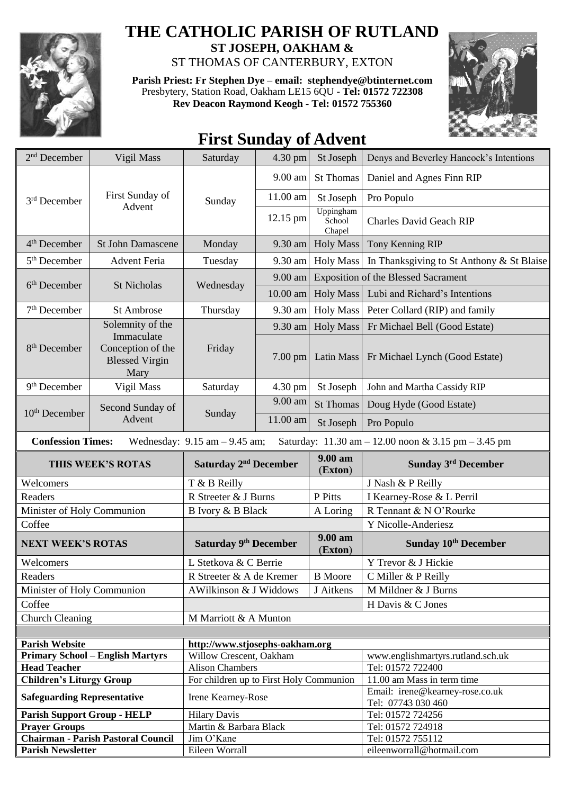

## **THE CATHOLIC PARISH OF RUTLAND**

**ST JOSEPH, OAKHAM &**  ST THOMAS OF CANTERBURY, EXTON

**Parish Priest: Fr Stephen Dye** – **[email: stephendye@btinternet.com](mailto:email:%20%20stephendye@btinternet.com)** Presbytery, Station Road, Oakham LE15 6QU - **Tel: 01572 722308 Rev Deacon Raymond Keogh - Tel: 01572 755360**



## **First Sunday of Advent**

| $2nd$ December                                                                                                       | Vigil Mass                                                                           | Saturday                                | 4.30 pm    | St Joseph                                  | Denys and Beverley Hancock's Intentions               |  |  |  |
|----------------------------------------------------------------------------------------------------------------------|--------------------------------------------------------------------------------------|-----------------------------------------|------------|--------------------------------------------|-------------------------------------------------------|--|--|--|
| $3rd$ December                                                                                                       | First Sunday of<br>Advent                                                            | Sunday                                  | 9.00 am    | <b>St Thomas</b>                           | Daniel and Agnes Finn RIP                             |  |  |  |
|                                                                                                                      |                                                                                      |                                         | 11.00 am   | St Joseph                                  | Pro Populo                                            |  |  |  |
|                                                                                                                      |                                                                                      |                                         | 12.15 pm   | Uppingham<br>School<br>Chapel              | <b>Charles David Geach RIP</b>                        |  |  |  |
| 4 <sup>th</sup> December                                                                                             | <b>St John Damascene</b>                                                             | Monday                                  | $9.30$ am  | <b>Holy Mass</b>                           | Tony Kenning RIP                                      |  |  |  |
| 5 <sup>th</sup> December                                                                                             | <b>Advent Feria</b>                                                                  | Tuesday                                 | 9.30 am    | <b>Holy Mass</b>                           | In Thanksgiving to St Anthony & St Blaise             |  |  |  |
| 6 <sup>th</sup> December                                                                                             | <b>St Nicholas</b>                                                                   | Wednesday                               | 9.00 am    | <b>Exposition of the Blessed Sacrament</b> |                                                       |  |  |  |
|                                                                                                                      |                                                                                      |                                         | $10.00$ am | <b>Holy Mass</b>                           | Lubi and Richard's Intentions                         |  |  |  |
| 7 <sup>th</sup> December                                                                                             | St Ambrose                                                                           | Thursday                                | 9.30 am    | Holy Mass                                  | Peter Collard (RIP) and family                        |  |  |  |
| 8 <sup>th</sup> December                                                                                             | Solemnity of the<br>Immaculate<br>Conception of the<br><b>Blessed Virgin</b><br>Mary | Friday                                  | 9.30 am    | <b>Holy Mass</b>                           | Fr Michael Bell (Good Estate)                         |  |  |  |
|                                                                                                                      |                                                                                      |                                         | $7.00$ pm  | <b>Latin Mass</b>                          | Fr Michael Lynch (Good Estate)                        |  |  |  |
| 9 <sup>th</sup> December                                                                                             | Vigil Mass                                                                           | Saturday                                | 4.30 pm    | St Joseph                                  | John and Martha Cassidy RIP                           |  |  |  |
| 10 <sup>th</sup> December                                                                                            | Second Sunday of<br>Advent                                                           | Sunday                                  | 9.00 am    | <b>St Thomas</b>                           | Doug Hyde (Good Estate)                               |  |  |  |
|                                                                                                                      |                                                                                      |                                         | 11.00 am   | St Joseph                                  | Pro Populo                                            |  |  |  |
| <b>Confession Times:</b><br>Wednesday: $9.15$ am $- 9.45$ am;<br>Saturday: 11.30 am - 12.00 noon & 3.15 pm - 3.45 pm |                                                                                      |                                         |            |                                            |                                                       |  |  |  |
|                                                                                                                      |                                                                                      |                                         |            |                                            |                                                       |  |  |  |
|                                                                                                                      | THIS WEEK'S ROTAS                                                                    | Saturday 2 <sup>nd</sup> December       |            | 9.00 am<br>(Exton)                         | Sunday 3rd December                                   |  |  |  |
| Welcomers                                                                                                            |                                                                                      | T & B Reilly                            |            |                                            | J Nash & P Reilly                                     |  |  |  |
| Readers                                                                                                              |                                                                                      | R Streeter & J Burns                    |            | P Pitts                                    | I Kearney-Rose & L Perril                             |  |  |  |
| Minister of Holy Communion                                                                                           |                                                                                      | B Ivory & B Black                       |            | A Loring                                   | R Tennant & N O'Rourke                                |  |  |  |
| Coffee                                                                                                               |                                                                                      |                                         |            |                                            | Y Nicolle-Anderiesz                                   |  |  |  |
| <b>NEXT WEEK'S ROTAS</b>                                                                                             |                                                                                      | Saturday 9th December                   |            | 9.00 am<br>(Exton)                         | Sunday 10 <sup>th</sup> December                      |  |  |  |
| Welcomers                                                                                                            |                                                                                      | L Stetkova & C Berrie                   |            |                                            | Y Trevor & J Hickie                                   |  |  |  |
| Readers                                                                                                              |                                                                                      | R Streeter & A de Kremer                |            | <b>B</b> Moore                             | C Miller & P Reilly                                   |  |  |  |
| Minister of Holy Communion                                                                                           |                                                                                      | AWilkinson & J Widdows                  |            | J Aitkens                                  | M Mildner & J Burns                                   |  |  |  |
| Coffee                                                                                                               |                                                                                      |                                         |            |                                            | H Davis & C Jones                                     |  |  |  |
| <b>Church Cleaning</b>                                                                                               |                                                                                      | M Marriott & A Munton                   |            |                                            |                                                       |  |  |  |
|                                                                                                                      |                                                                                      |                                         |            |                                            |                                                       |  |  |  |
| <b>Parish Website</b>                                                                                                |                                                                                      | http://www.stjosephs-oakham.org         |            |                                            |                                                       |  |  |  |
|                                                                                                                      | <b>Primary School - English Martyrs</b>                                              | Willow Crescent, Oakham                 |            |                                            | www.englishmartyrs.rutland.sch.uk                     |  |  |  |
| <b>Head Teacher</b>                                                                                                  |                                                                                      | <b>Alison Chambers</b>                  |            |                                            | Tel: 01572 722400                                     |  |  |  |
| <b>Children's Liturgy Group</b>                                                                                      |                                                                                      | For children up to First Holy Communion |            |                                            | 11.00 am Mass in term time                            |  |  |  |
| <b>Safeguarding Representative</b>                                                                                   |                                                                                      | Irene Kearney-Rose                      |            |                                            | Email: irene@kearney-rose.co.uk<br>Tel: 07743 030 460 |  |  |  |
| <b>Parish Support Group - HELP</b>                                                                                   |                                                                                      | <b>Hilary Davis</b>                     |            |                                            | Tel: 01572 724256                                     |  |  |  |
| <b>Prayer Groups</b>                                                                                                 |                                                                                      | Martin & Barbara Black                  |            |                                            | Tel: 01572 724918                                     |  |  |  |
| <b>Parish Newsletter</b>                                                                                             | <b>Chairman - Parish Pastoral Council</b>                                            | Jim O'Kane<br>Eileen Worrall            |            |                                            | Tel: 01572 755112<br>eileenworrall@hotmail.com        |  |  |  |